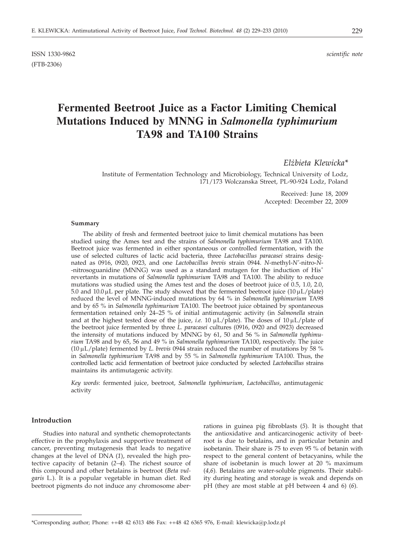ISSN 1330-9862 *scientific note* (FTB-2306)

# **Fermented Beetroot Juice as a Factor Limiting Chemical Mutations Induced by MNNG in** *Salmonella typhimurium* **TA98 and TA100 Strains**

*Elz· bieta Klewicka\**

Institute of Fermentation Technology and Microbiology, Technical University of Lodz, 171/173 Wolczanska Street, PL-90-924 Lodz, Poland

> Received: June 18, 2009 Accepted: December 22, 2009

#### **Summary**

The ability of fresh and fermented beetroot juice to limit chemical mutations has been studied using the Ames test and the strains of *Salmonella typhimurium* TA98 and TA100. Beetroot juice was fermented in either spontaneous or controlled fermentation, with the use of selected cultures of lactic acid bacteria, three *Lactobacillus paracasei* strains designated as 0916, 0920, 0923, and one *Lactobacillus brevis* strain 0944. *N*-methyl-*N'*-nitro-*N*- -nitrosoguanidine (MNNG) was used as a standard mutagen for the induction of His<sup>+</sup> revertants in mutations of *Salmonella typhimurium* TA98 and TA100. The ability to reduce mutations was studied using the Ames test and the doses of beetroot juice of 0.5, 1.0, 2.0, 5.0 and  $10.0 \mu L$  per plate. The study showed that the fermented beetroot juice  $(10 \mu L/plate)$ reduced the level of MNNG-induced mutations by 64 % in *Salmonella typhimurium* TA98 and by 65 % in *Salmonella typhimurium* TA100. The beetroot juice obtained by spontaneous fermentation retained only 24–25 % of initial antimutagenic activity (in *Salmonella* strain and at the highest tested dose of the juice, *i.e.* 10  $\mu$ L/plate). The doses of 10  $\mu$ L/plate of the beetroot juice fermented by three *L. paracasei* cultures (0916, 0920 and 0923) decreased the intensity of mutations induced by MNNG by 61, 50 and 56 % in *Salmonella typhimurium* TA98 and by 65, 56 and 49 % in *Salmonella typhimurium* TA100, respectively. The juice (10 mL/plate) fermented by *L. brevis* 0944 strain reduced the number of mutations by 58 % in *Salmonella typhimurium* TA98 and by 55 % in *Salmonella typhimurium* TA100. Thus, the controlled lactic acid fermentation of beetroot juice conducted by selected *Lactobacillus* strains maintains its antimutagenic activity.

*Key words*: fermented juice, beetroot, *Salmonella typhimurium*, *Lactobacillus*, antimutagenic activity

## **Introduction**

Studies into natural and synthetic chemoprotectants effective in the prophylaxis and supportive treatment of cancer, preventing mutagenesis that leads to negative changes at the level of DNA (*1*), revealed the high protective capacity of betanin (*2–4*)*.* The richest source of this compound and other betalains is beetroot (*Beta vulgaris* L*.*). It is a popular vegetable in human diet. Red beetroot pigments do not induce any chromosome aber-

rations in guinea pig fibroblasts (*5*)*.* It is thought that the antioxidative and anticarcinogenic activity of beetroot is due to betalains, and in particular betanin and isobetanin. Their share is 75 to even 95 % of betanin with respect to the general content of betacyanins, while the share of isobetanin is much lower at 20 % maximum (*4,6*)*.* Betalains are water-soluble pigments. Their stability during heating and storage is weak and depends on pH (they are most stable at pH between 4 and 6) (*6*)*.*

<sup>\*</sup>Corresponding author; Phone: ++48 42 6313 486 Fax: ++48 42 6365 976, E-mail: klewicka@p.lodz.pl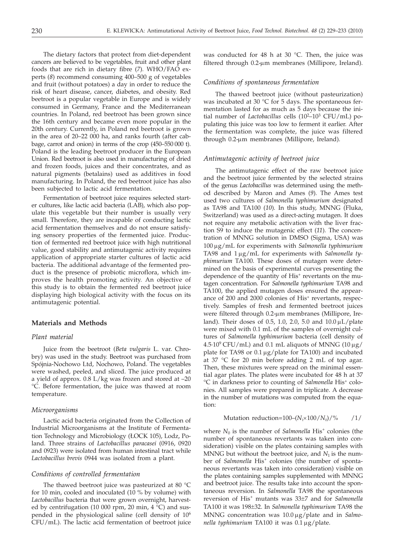The dietary factors that protect from diet-dependent cancers are believed to be vegetables, fruit and other plant foods that are rich in dietary fibre (*7*)*.* WHO/FAO experts (*8*) recommend consuming 400–500 g of vegetables and fruit (without potatoes) a day in order to reduce the risk of heart disease, cancer, diabetes, and obesity. Red beetroot is a popular vegetable in Europe and is widely consumed in Germany, France and the Mediterranean countries. In Poland, red beetroot has been grown since the 16th century and became even more popular in the 20th century. Currently, in Poland red beetroot is grown in the area of 20–22 000 ha, and ranks fourth (after cabbage, carrot and onion) in terms of the crop (450–550 000 t). Poland is the leading beetroot producer in the European Union. Red beetroot is also used in manufacturing of dried and frozen foods, juices and their concentrates, and as natural pigments (betalains) used as additives in food manufacturing. In Poland, the red beetroot juice has also been subjected to lactic acid fermentation.

Fermentation of beetroot juice requires selected starter cultures, like lactic acid bacteria (LAB), which also populate this vegetable but their number is usually very small. Therefore, they are incapable of conducting lactic acid fermentation themselves and do not ensure satisfying sensory properties of the fermented juice. Production of fermented red beetroot juice with high nutritional value, good stability and antimutagenic activity requires application of appropriate starter cultures of lactic acid bacteria. The additional advantage of the fermented product is the presence of probiotic microflora, which improves the health promoting activity. An objective of this study is to obtain the fermented red beetroot juice displaying high biological activity with the focus on its antimutagenic potential.

# **Materials and Methods**

# *Plant material*

Juice from the beetroot (*Beta vulgaris* L. var. Chrobry) was used in the study. Beetroot was purchased from Spójnia-Nochowo Ltd, Nochowo, Poland. The vegetables were washed, peeled, and sliced. The juice produced at a yield of approx. 0.8 L/kg was frozen and stored at –20 °C. Before fermentation, the juice was thawed at room temperature.

#### *Microorganisms*

Lactic acid bacteria originated from the Collection of Industrial Microorganisms at the Institute of Fermentation Technology and Microbiology (ŁOCK 105), Lodz, Poland. Three strains of *Lactobacillus paracasei* (0916, 0920 and 0923) were isolated from human intestinal tract while *Lactobacillus brevis* 0944 was isolated from a plant.

# *Conditions of controlled fermentation*

The thawed beetroot juice was pasteurized at 80 °C for 10 min, cooled and inoculated (10 % by volume) with *Lactobacillus* bacteria that were grown overnight, harvested by centrifugation (10 000 rpm, 20 min, 4 °C) and suspended in the physiological saline (cell density of 106 CFU/mL). The lactic acid fermentation of beetroot juice was conducted for 48 h at 30  $^{\circ}$ C. Then, the juice was filtered through  $0.2$ -µm membranes (Millipore, Ireland).

# *Conditions of spontaneous fermentation*

The thawed beetroot juice (without pasteurization) was incubated at 30 °C for 5 days. The spontaneous fermentation lasted for as much as 5 days because the initial number of *Lactobacillus* cells (10<sup>2-103</sup> CFU/mL) populating this juice was too low to ferment it earlier. After the fermentation was complete, the juice was filtered through 0.2-µm membranes (Millipore, Ireland).

#### *Antimutagenic activity of beetroot juice*

The antimutagenic effect of the raw beetroot juice and the beetroot juice fermented by the selected strains of the genus *Lactobacillus* was determined using the method described by Maron and Ames (*9*)*.* The Ames test used two cultures of *Salmonella typhimurium* designated as TA98 and TA100 (*10*)*.* In this study, MNNG (Fluka, Switzerland) was used as a direct-acting mutagen. It does not require any metabolic activation with the liver fraction S9 to induce the mutagenic effect (*11*)*.* The concentration of MNNG solution in DMSO (Sigma, USA) was 100 mg/mL for experiments with *Salmonella typhimurium* TA98 and 1 µg/mL for experiments with *Salmonella typhimurium* TA100. These doses of mutagen were determined on the basis of experimental curves presenting the dependence of the quantity of His<sup>+</sup> revertants on the mutagen concentration. For *Salmonella typhimurium* TA98 and TA100, the applied mutagen doses ensured the appearance of 200 and 2000 colonies of His<sup>+</sup> revertants, respectively. Samples of fresh and fermented beetroot juices were filtered through 0.2-µm membranes (Millipore, Ireland). Their doses of 0.5, 1.0, 2.0, 5.0 and  $10.0 \,\mu L$ /plate were mixed with 0.1 mL of the samples of overnight cultures of *Salmonella typhimurium* bacteria (cell density of  $4.5·10<sup>9</sup> CFU/mL)$  and 0.1 mL aliquots of MNNG (10 µg/ plate for TA98 or  $0.1 \mu$ g/plate for TA100) and incubated at 37 °C for 20 min before adding 2 mL of top agar. Then, these mixtures were spread on the minimal essential agar plates. The plates were incubated for 48 h at 37 °C in darkness prior to counting of *Salmonella* His+ colonies. All samples were prepared in triplicate. A decrease in the number of mutations was computed from the equation:

$$
Mutation reduction = 100 - (N_1 \times 100 / N_0) / \% \qquad /1 /
$$

where  $N_0$  is the number of *Salmonella* His<sup>+</sup> colonies (the number of spontaneous revertants was taken into consideration) visible on the plates containing samples with MNNG but without the beetroot juice, and  $N_1$  is the number of *Salmonella* His<sup>+</sup> colonies (the number of spontaneous revertants was taken into consideration) visible on the plates containing samples supplemented with MNNG and beetroot juice. The results take into account the spontaneous reversion. In *Salmonella* TA98 the spontaneous reversion of His+ mutants was 33±7 and for *Salmonella* TA100 it was 198±32. In *Salmonella typhimurium* TA98 the MNNG concentration was  $10.0 \mu$ g/plate and in *Salmonella typhimurium* TA100 it was 0.1 µg/plate.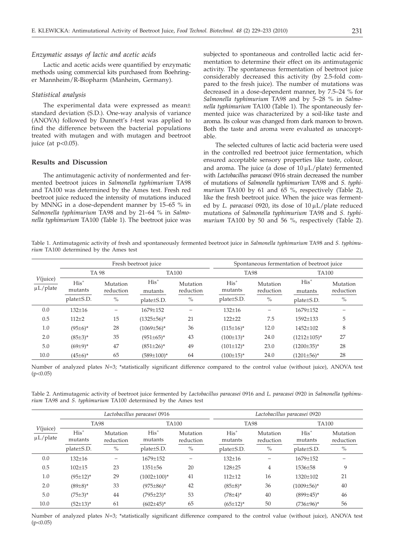#### *Enzymatic assays of lactic and acetic acids*

Lactic and acetic acids were quantified by enzymatic methods using commercial kits purchased from Boehringer Mannheim/R-Biopharm (Manheim, Germany).

#### *Statistical analysis*

The experimental data were expressed as mean± standard deviation (S.D.). One-way analysis of variance (ANOVA) followed by Dunnett's *t*-test was applied to find the difference between the bacterial populations treated with mutagen and with mutagen and beetroot juice (at  $p<0.05$ ).

# **Results and Discussion**

The antimutagenic activity of nonfermented and fermented beetroot juices in *Salmonella typhimurium* TA98 and TA100 was determined by the Ames test. Fresh red beetroot juice reduced the intensity of mutations induced by MNNG in a dose-dependent manner by 15–65 % in *Salmonella typhimurium* TA98 and by 21–64 % in *Salmonella typhimurium* TA100 (Table 1). The beetroot juice was

subjected to spontaneous and controlled lactic acid fermentation to determine their effect on its antimutagenic activity. The spontaneous fermentation of beetroot juice considerably decreased this activity (by 2.5-fold compared to the fresh juice). The number of mutations was decreased in a dose-dependent manner, by 7.5–24 % for *Salmonella typhimurium* TA98 and by 5–28 % in *Salmonella typhimurium* TA100 (Table 1). The spontaneously fermented juice was characterized by a soil-like taste and aroma. Its colour was changed from dark maroon to brown. Both the taste and aroma were evaluated as unacceptable.

The selected cultures of lactic acid bacteria were used in the controlled red beetroot juice fermentation, which ensured acceptable sensory properties like taste, colour, and aroma. The juice (a dose of  $10 \mu L$ /plate) fermented with *Lactobacillus paracasei* 0916 strain decreased the number of mutations of *Salmonella typhimurium* TA98 and *S. typhimurium* TA100 by 61 and 65 %, respectively (Table 2), like the fresh beetroot juice. When the juice was fermented by *L. paracasei* 0920, its dose of 10 µL/plate reduced mutations of *Salmonella typhimurium* TA98 and *S. typhimurium* TA100 by 50 and 56 %, respectively (Table 2).

Table 1. Antimutagenic activity of fresh and spontaneously fermented beetroot juice in *Salmonella typhimurium* TA98 and *S. typhimurium* TA100 determined by the Ames test

| $V$ (juice)<br>$\mu$ L/plate | Fresh beetroot juice |                       |                   |                       | Spontaneous fermentation of beetroot juice |                       |                    |                       |  |
|------------------------------|----------------------|-----------------------|-------------------|-----------------------|--------------------------------------------|-----------------------|--------------------|-----------------------|--|
|                              | <b>TA 98</b>         |                       | <b>TA100</b>      |                       | <b>TA98</b>                                |                       | <b>TA100</b>       |                       |  |
|                              | $His+$<br>mutants    | Mutation<br>reduction | $His+$<br>mutants | Mutation<br>reduction | $His+$<br>mutants                          | Mutation<br>reduction | $His+$<br>mutants  | Mutation<br>reduction |  |
|                              | plate±S.D.           | $\%$                  | platepm S.D.      | $\%$                  | platepm S.D.                               | $\%$                  | plate + S.D.       | $\%$                  |  |
| 0.0                          | $132 \pm 16$         |                       | 1679±152          |                       | $132 + 16$                                 | $\qquad \qquad -$     | 1679±152           |                       |  |
| 0.5                          | $112 + 2$            | 15                    | $(1325 \pm 56)^*$ | 21                    | $122 + 22$                                 | 7.5                   | $1592 + 133$       | 5                     |  |
| 1.0                          | $(95±6)*$            | 28                    | $(1069 \pm 56)^*$ | 36                    | $(115 \pm 16)^*$                           | 12.0                  | 1452±102           | 8                     |  |
| 2.0                          | $(85±3)*$            | 35                    | $(951 \pm 65)^*$  | 43                    | $(100\pm13)^*$                             | 24.0                  | $(1212 \pm 105)^*$ | 27                    |  |
| 5.0                          | $(69±9)*$            | 47                    | $(851\pm26)^*$    | 49                    | $(101\pm12)^{*}$                           | 23.0                  | $(1200\pm35)^{*}$  | 28                    |  |
| 10.0                         | $(45\pm6)^*$         | 65                    | $(589 \pm 100)^*$ | 64                    | $(100\pm15)^*$                             | 24.0                  | $(1201 \pm 56)^*$  | 28                    |  |

Number of analyzed plates *N*=3; \*statistically significant difference compared to the control value (without juice), ANOVA test  $(p<0.05)$ 

Table 2. Antimutagenic activity of beetroot juice fermented by *Lactobacillus paracasei* 0916 and *L. paracasei* 0920 in *Salmonella typhimurium* TA98 and *S. typhimurium* TA100 determined by the Ames test

|                            | Lactobacillus paracasei 0916 |                       |                    |                       | Lactobacillus paracasei 0920 |                       |                   |                       |  |
|----------------------------|------------------------------|-----------------------|--------------------|-----------------------|------------------------------|-----------------------|-------------------|-----------------------|--|
| V(juice)<br>$\mu L$ /plate | <b>TA98</b>                  |                       | <b>TA100</b>       |                       | <b>TA98</b>                  |                       | <b>TA100</b>      |                       |  |
|                            | $His+$<br>mutants            | Mutation<br>reduction | $His+$<br>mutants  | Mutation<br>reduction | $His+$<br>mutants            | Mutation<br>reduction | $His+$<br>mutants | Mutation<br>reduction |  |
|                            | plate±S.D.                   | $\%$                  | plate±S.D.         | $\%$                  | plate±S.D.                   | $\%$                  | plate + S.D.      | $\%$                  |  |
| 0.0                        | $132 \pm 16$                 |                       | 1679±152           |                       | $132 + 16$                   | -                     | 1679±152          |                       |  |
| 0.5                        | $102 + 15$                   | 23                    | $1351 \pm 56$      | 20                    | $128 + 25$                   | $\overline{4}$        | 1536±58           | 9                     |  |
| 1.0                        | $(95 \pm 12)^*$              | 29                    | $(1002 \pm 100)^*$ | 41                    | $112 + 12$                   | 16                    | 1320±102          | 21                    |  |
| 2.0                        | $(89±8)$ *                   | 33                    | $(975 \pm 86)^*$   | 42                    | $(85 \pm 8)^*$               | 36                    | $(1009 \pm 56)^*$ | 40                    |  |
| 5.0                        | $(75±3)^*$                   | 44                    | $(795 \pm 23)^*$   | 53                    | $(78±4)^*$                   | 40                    | $(899±45)^*$      | 46                    |  |
| 10.0                       | $(52 \pm 13)^*$              | 61                    | $(602 \pm 45)^*$   | 65                    | $(65 \pm 12)^*$              | 50                    | $(736 \pm 96)^*$  | 56                    |  |

Number of analyzed plates *N*=3; \*statistically significant difference compared to the control value (without juice), ANOVA test  $(p<0.05)$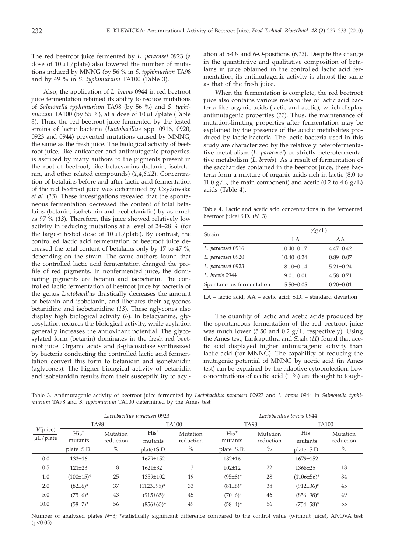The red beetroot juice fermented by *L. paracasei* 0923 (a dose of  $10 \mu L$ /plate) also lowered the number of mutations induced by MNNG (by 56 % in *S. typhimurium* TA98 and by 49 % in *S. typhimurium* TA100 (Table 3).

Also, the application of *L. brevis* 0944 in red beetroot juice fermentation retained its ability to reduce mutations of *Salmonella typhimurium* TA98 (by 56 %) and *S. typhimurium* TA100 (by 55 %), at a dose of  $10 \mu L$ /plate (Table 3). Thus, the red beetroot juice fermented by the tested strains of lactic bacteria (*Lactobacillus* spp. 0916, 0920, 0923 and 0944) prevented mutations caused by MNNG, the same as the fresh juice. The biological activity of beetroot juice, like anticancer and antimutagenic properties, is ascribed by many authors to the pigments present in the root of beetroot, like betacyanins (betanin, isobetanin, and other related compounds) (*1,4,6,12*)*.* Concentration of betalains before and after lactic acid fermentation of the red beetroot juice was determined by Czyżowska *et al.* (*13*)*.* These investigations revealed that the spontaneous fermentation decreased the content of total betalains (betanin, isobetanin and neobetanidin) by as much as 97 % (*13*)*.* Therefore, this juice showed relatively low activity in reducing mutations at a level of 24–28 % (for the largest tested dose of  $10 \mu L$ /plate). By contrast, the controlled lactic acid fermentation of beetroot juice decreased the total content of betalains only by 17 to 47 %, depending on the strain. The same authors found that the controlled lactic acid fermentation changed the profile of red pigments. In nonfermented juice, the dominating pigments are betanin and isobetanin. The controlled lactic fermentation of beetroot juice by bacteria of the genus *Lactobacillus* drastically decreases the amount of betanin and isobetanin, and liberates their aglycones betanidine and isobetanidine (*13*)*.* These aglycones also display high biological activity (*6*)*.* In betacyanins, glycosylation reduces the biological activity, while acylation generally increases the antioxidant potential. The glycosylated form (betanin) dominates in the fresh red beetroot juice. Organic acids and b-glucosidase synthesized by bacteria conducting the controlled lactic acid fermentation convert this form to betanidin and isonetanidin (aglycones). The higher biological activity of betanidin and isobetanidin results from their susceptibility to acyl-

ation at 5-O- and 6-O-positions (*6,12*). Despite the change in the quantitative and qualitative composition of betalains in juice obtained in the controlled lactic acid fermentation, its antimutagenic activity is almost the same as that of the fresh juice.

When the fermentation is complete, the red beetroot juice also contains various metabolites of lactic acid bacteria like organic acids (lactic and acetic), which display antimutagenic properties (*11*)*.* Thus, the maintenance of mutation-limiting properties after fermentation may be explained by the presence of the acidic metabolites produced by lactic bacteria. The lactic bacteria used in this study are characterized by the relatively heterofermentative metabolism (*L. paracasei*) or strictly heterofermentative metabolism (*L. brevis*). As a result of fermentation of the saccharides contained in the beetroot juice, these bacteria form a mixture of organic acids rich in lactic (8.0 to 11.0  $g/L$ , the main component) and acetic (0.2 to 4.6  $g/L$ ) acids (Table 4).

Table 4. Lactic and acetic acid concentrations in the fermented beetroot juice±S.D. (*N*=3)

| $\gamma(g/L)$    |                 |  |  |  |
|------------------|-----------------|--|--|--|
| LA.              | AA              |  |  |  |
| $10.40 \pm 0.17$ | $4.47 \pm 0.42$ |  |  |  |
| $10.40 \pm 0.24$ | $0.89 + 0.07$   |  |  |  |
| $8.10 \pm 0.14$  | $5.21 \pm 0.24$ |  |  |  |
| $9.01 \pm 0.01$  | $4.58 \pm 0.71$ |  |  |  |
| $5.50 \pm 0.05$  | $0.20 \pm 0.01$ |  |  |  |
|                  |                 |  |  |  |

LA – lactic acid, AA – acetic acid; S.D. – standard deviation

The quantity of lactic and acetic acids produced by the spontaneous fermentation of the red beetroot juice was much lower (5.50 and 0.2  $g/L$ , respectively). Using the Ames test, Lankaputhra and Shah (*11*) found that acetic acid displayed higher antimutagenic activity than lactic acid (for MNNG). The capability of reducing the mutagenic potential of MNNG by acetic acid (in Ames test) can be explained by the adaptive cytoprotection. Low concentrations of acetic acid (1 %) are thought to tough-

Table 3. Antimutagenic activity of beetroot juice fermented by *Lactobacillus paracasei* 00923 and *L. brevis* 0944 in *Salmonella typhimurium* TA98 and *S. typhimurium* TA100 determined by the Ames test

|                           | Lactobacillus paracasei 0923 |                       |                   |                       | Lactobacillus brevis 0944 |                          |                   |                       |  |
|---------------------------|------------------------------|-----------------------|-------------------|-----------------------|---------------------------|--------------------------|-------------------|-----------------------|--|
| V(juice)<br>$\mu$ L/plate | <b>TA98</b>                  |                       | <b>TA100</b>      |                       | <b>TA98</b>               |                          | <b>TA100</b>      |                       |  |
|                           | $His+$<br>mutants            | Mutation<br>reduction | $His+$<br>mutants | Mutation<br>reduction | $His+$<br>mutants         | Mutation<br>reduction    | $His+$<br>mutants | Mutation<br>reduction |  |
|                           | plate + S.D.                 | $\%$                  | plate±S.D.        | $\%$                  | plate + S.D.              | $\%$                     | plate±S.D.        | $\%$                  |  |
| 0.0                       | $132 \pm 16$                 |                       | 1679±152          |                       | $132 + 16$                | $\overline{\phantom{0}}$ | 1679±152          |                       |  |
| 0.5                       | $121 \pm 23$                 | 8                     | $1621 \pm 32$     | 3                     | $102 + 12$                | 22                       | 1368±25           | 18                    |  |
| 1.0                       | $(100 \pm 15)^*$             | 25                    | 1359±102          | 19                    | $(95\pm8)^*$              | 28                       | $(1106 \pm 56)^*$ | 34                    |  |
| 2.0                       | $(82\pm6)^*$                 | 37                    | $(1123\pm 95)^*$  | 33                    | $(81±6)*$                 | 38                       | $(912\pm36)^*$    | 45                    |  |
| 5.0                       | $(75 \pm 6)^*$               | 43                    | $(915 \pm 65)^*$  | 45                    | $(70±6)*$                 | 46                       | $(856\pm98)^*$    | 49                    |  |
| 10.0                      | $(58\pm7)^*$                 | 56                    | $(856\pm63)^*$    | 49                    | $(58 \pm 4)^*$            | 56                       | $(754 \pm 58)^*$  | 55                    |  |

Number of analyzed plates *N*=3; \*statistically significant difference compared to the control value (without juice), ANOVA test  $(p<0.05)$